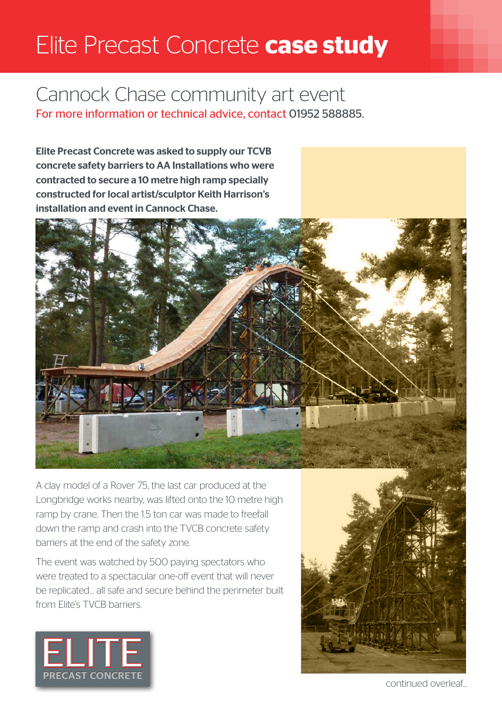## Elite Precast Concrete **case study**

## Cannock Chase community art event For more information or technical advice, contact 01952 588885.

Elite Precast Concrete was asked to supply our TCVB concrete safety barriers to AA Installations who were contracted to secure a 10 metre high ramp specially constructed for local artist/sculptor Keith Harrison's installation and event in Cannock Chase.



A clay model of a Rover 75, the last car produced at the Longbridge works nearby, was lifted onto the 10 metre high ramp by crane. Then the 1.5 ton car was made to freefall down the ramp and crash into the TVCB concrete safety barriers at the end of the safety zone.

The event was watched by 500 paying spectators who were treated to a spectacular one-off event that will never be replicated... all safe and secure behind the perimeter built from Elite's TVCB barriers.





continued overleaf...